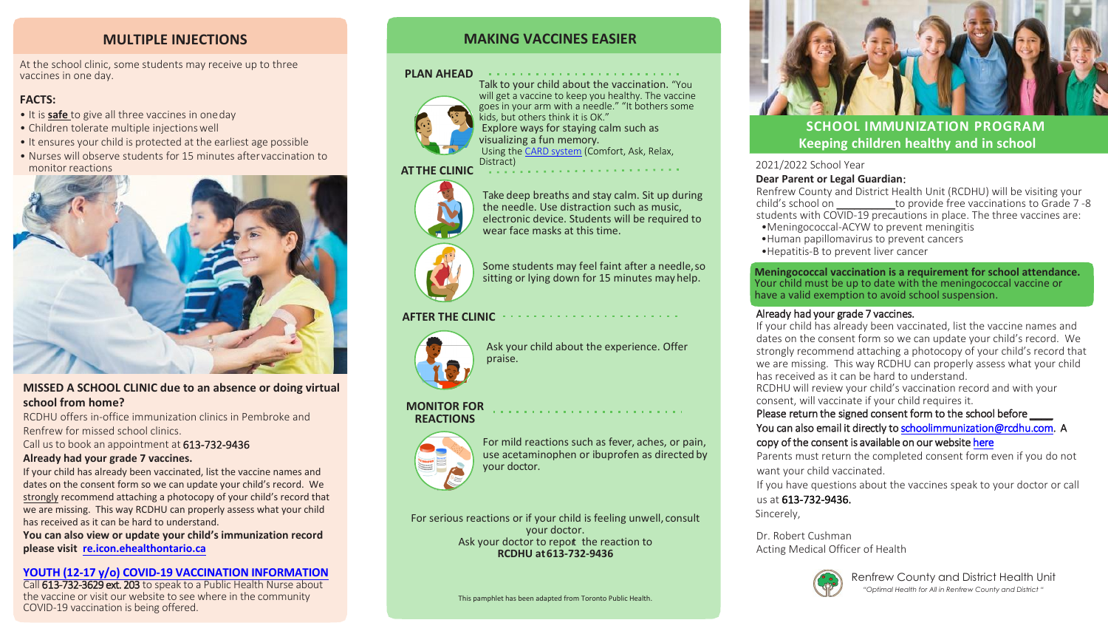2021/2022 School Year **Dear Parent or Legal Guardian**:

Renfrew County and District Health Unit (RCDHU) will be visiting your child's school on \_\_\_\_\_\_\_\_\_\_to provide free vaccinations to Grade 7-8 students with COVID-19 precautions in place. The three vaccines are:

- •Meningococcal-ACYW to prevent meningitis
- •Human papillomavirus to prevent cancers
- •Hepatitis-B to prevent liver cancer

Renfrew County and District Health Unit

 $\alpha$  , and the second contribution of the second contribution of the second contribution of  $\alpha$ Talk to your child about the vaccination. "You will get a vaccine to keep you healthy. The vaccine goes in your arm with a needle." "It bothers some kids, but others think it is OK." Explore ways for staying calm such as visualizing a fun memory. Using the [CARD system](https://www.health.gov.on.ca/en/pro/programs/publichealth/coronavirus/docs/vaccine/CARD_parent_pamphlet.pdf) (Comfort, Ask, Relax, Distract)

*"Optimal Health for All in Renfrew County and District "*

# **MAKING VACCINES EASIER**

### **PLAN AHEAD**



Some students may feel faint after a needle, so sitting or lying down for 15 minutes mayhelp.





Take deep breaths and stay calm. Sit up during the needle. Use distraction such as music, electronic device. Students will be required to wear face masks at this time.

# **AFTER THE CLINIC**



Ask your child about the experience. Offer praise.

#### **MONITOR FOR REACTIONS**



For mild reactions such as fever, aches, or pain, use acetaminophen or ibuprofen as directed by your doctor.

For serious reactions or if your child is feeling unwell, consult your doctor. Ask your doctor to report the reaction to **RCDHU at 613-732-9436**

Call 613-732-3629 ext. 203 to speak to a Public Health Nurse about the vaccine or visit our website to see where in the community COVID-19 vaccination is being offered.





# **MULTIPLE INJECTIONS**

At the school clinic, some students may receive up to three vaccines in one day.

## **FACTS:**

- It is **safe** to give all three vaccines in oneday
- Children tolerate multiple injectionswell
- It ensures your child is protected at the earliest age possible
- Nurses will observe students for 15 minutes aftervaccination to monitor reactions



# **MISSED A SCHOOL CLINIC due to an absence or doing virtual school from home?**

RCDHU offers in-office immunization clinics in Pembroke and Renfrew for missed school clinics.

Call us to book an appointment at 613-732-9436

#### **Already had your grade 7 vaccines.**

If your child has already been vaccinated, list the vaccine names and dates on the consent form so we can update your child's record. We strongly recommend attaching a photocopy of your child's record that we are missing. This way RCDHU can properly assess what your child has received as it can be hard to understand.

**You can also view or update your child's immunization record please visit [re.icon.ehealthontario.ca](https://re.icon.ehealthontario.ca/#!/welcome)**

### **[YOUTH \(12-17 y/o\) COVID-19 VACCINATION INFORMATION](https://www.health.gov.on.ca/en/pro/programs/publichealth/coronavirus/docs/vaccine/COVID-19_vaccine_information_sheet_youth.pdf)**

# **SCHOOL IMMUNIZATION PROGRAM Keeping children healthy and in school**

**Meningococcal vaccination is a requirement for school attendance.** Your child must be up to date with the meningococcal vaccine or

# have a valid exemption to avoid school suspension.

Already had your grade 7 vaccines.

If your child has already been vaccinated, list the vaccine names and dates on the consent form so we can update your child's record. We strongly recommend attaching a photocopy of your child's record that we are missing. This way RCDHU can properly assess what your child has received as it can be hard to understand. RCDHU will review your child's vaccination record and with your consent, will vaccinate if your child requires it. Please return the signed consent form to the school before You can also email it directly to [schoolimmunization@rcdhu.com.](mailto:schoolimmunization@rcdhu.com) A copy of the consent is available on our website [here](https://www.rcdhu.com/wp-content/uploads/2021/10/2021_Grade-7-Consent-Form_EN.final_-1.pdf)  Parents must return the completed consent form even if you do not want your child vaccinated. If you have questions about the vaccines speak to your doctor or call

us at 613-732-9436. Sincerely,

Dr. Robert Cushman Acting Medical Officer of Health